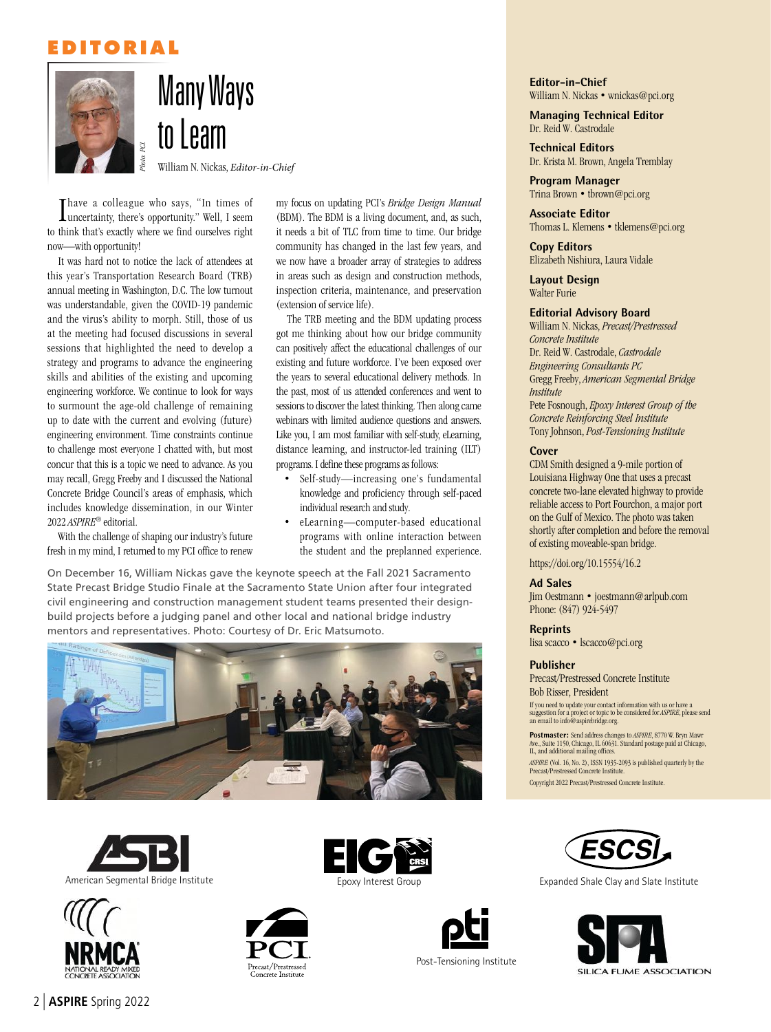### **EDITORIAL**





William N. Nickas, *Editor-in-Chief*

I uncertainty, there's opportunity." Well, I seem Thave a colleague who says, "In times of to think that's exactly where we find ourselves right now—with opportunity!

France a colleague<br>
Inneertainty, there's to think that's exactly who<br>
now—with opportunity!<br>
It was hard not to notic<br>
it was hard not to notic<br>
anual meeting had focus<br>
and the wirus's ability to<br>
at the meeting had focu It was hard not to notice the lack of attendees at this year's Transportation Research Board (TRB) annual meeting in Washington, D.C. The low turnout was understandable, given the COVID-19 pandemic and the virus's ability to morph. Still, those of us at the meeting had focused discussions in several sessions that highlighted the need to develop a strategy and programs to advance the engineering skills and abilities of the existing and upcoming engineering workforce. We continue to look for ways to surmount the age-old challenge of remaining up to date with the current and evolving (future) engineering environment. Time constraints continue to challenge most everyone I chatted with, but most concur that this is a topic we need to advance. As you may recall, Gregg Freeby and I discussed the National Concrete Bridge Council's areas of emphasis, which includes knowledge dissemination, in our Winter 2022 *ASPIRE*® editorial.

With the challenge of shaping our industry's future fresh in my mind, I returned to my PCI office to renew

my focus on updating PCI's *Bridge Design Manual* (BDM). The BDM is a living document, and, as such, it needs a bit of TLC from time to time. Our bridge community has changed in the last few years, and we now have a broader array of strategies to address in areas such as design and construction methods, inspection criteria, maintenance, and preservation (extension of service life).

The TRB meeting and the BDM updating process got me thinking about how our bridge community can positively affect the educational challenges of our existing and future workforce. I've been exposed over the years to several educational delivery methods. In the past, most of us attended conferences and went to sessions to discover the latest thinking. Then along came webinars with limited audience questions and answers. Like you, I am most familiar with self-study, eLearning, distance learning, and instructor-led training (ILT) programs. I define these programs as follows:

- Self-study—increasing one's fundamental knowledge and proficiency through self-paced individual research and study.
- eLearning—computer-based educational programs with online interaction between the student and the preplanned experience.

On December 16, William Nickas gave the keynote speech at the Fall 2021 Sacramento State Precast Bridge Studio Finale at the Sacramento State Union after four integrated civil engineering and construction management student teams presented their designbuild projects before a judging panel and other local and national bridge industry mentors and representatives. Photo: Courtesy of Dr. Eric Matsumoto.













Post-Tensioning Institute

**Editor-in-Chief**  William N. Nickas • wnickas@pci.org

**Managing Technical Editor**  Dr. Reid W. Castrodale

**Technical Editors**  Dr. Krista M. Brown, Angela Tremblay

**Program Manager**  Trina Brown • tbrown@pci.org

**Associate Editor**  Thomas L. Klemens • tklemens@pci.org

**Copy Editors**  Elizabeth Nishiura, Laura Vidale

**Layout Design**  Walter Furie

#### **Editorial Advisory Board**

William N. Nickas, *Precast/Prestressed Concrete Institute* Dr. Reid W. Castrodale, *Castrodale Engineering Consultants PC*  Gregg Freeby, *American Segmental Bridge Institute*  Pete Fosnough, *Epoxy Interest Group of the Concrete Reinforcing Steel Institute*  Tony Johnson, *Post-Tensioning Institute* 

#### **Cover**

CDM Smith designed a 9-mile portion of Louisiana Highway One that uses a precast concrete two-lane elevated highway to provide reliable access to Port Fourchon, a major port on the Gulf of Mexico. The photo was taken shortly after completion and before the removal of existing moveable-span bridge.

https://doi.org/10.15554/16.2

#### **Ad Sales**

Jim Oestmann • joestmann@arlpub.com Phone: (847) 924-5497

**Reprints** 

lisa scacco • lscacco@pci.org

#### **Publisher**

Precast/Prestressed Concrete Institute Bob Risser, President

If you need to update your contact information with us or have a suggestion for a project or topic to be considered for *ASPIRE*, please send an email to info@aspirebridge.org.

**Postmaster:** Send address changes to *ASPIRE*, 8770 W. Bryn Mawr Ave., Suite 1150, Chicago, IL 60631. Standard postage paid at Chicago, IL, and additional mailing offices.

*ASPIRE* (Vol. 16, No. 2), ISSN 1935-2093 is published quarterly by the Precast/Prestressed Concrete Institute.

Copyright 2022 Precast/Prestressed Concrete Institute.